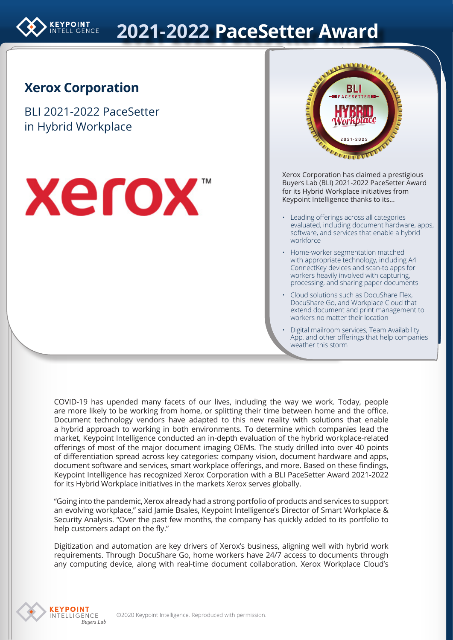

# **2021-2022 PaceSetter Award**

#### **Xerox Corporation**

BLI 2021-2022 PaceSetter in Hybrid Workplace





Xerox Corporation has claimed a prestigious Xerox Corporation Buyers Lab (BLI) 2021-2022 PaceSetter Award for its Hybrid Workplace initiatives from Keypoint Intelligence thanks to its… adon nas ciannea d

- Leading offerings across all categories evaluated, including document hardware, apps, software, and services that enable a hybrid workforce
- Home-worker segmentation matched with appropriate technology, including A4 ConnectKey devices and scan-to apps for workers heavily involved with capturing, processing, and sharing paper documents
- Cloud solutions such as DocuShare Flex, DocuShare Go, and Workplace Cloud that extend document and print management to workers no matter their location
- Digital mailroom services, Team Availability App, and other offerings that help companies weather this storm

COVID-19 has upended many facets of our lives, including the way we work. Today, people are more likely to be working from home, or splitting their time between home and the office. Document technology vendors have adapted to this new reality with solutions that enable a hybrid approach to working in both environments. To determine which companies lead the market, Keypoint Intelligence conducted an in-depth evaluation of the hybrid workplace-related offerings of most of the major document imaging OEMs. The study drilled into over 40 points of differentiation spread across key categories: company vision, document hardware and apps, document software and services, smart workplace offerings, and more. Based on these findings, Keypoint Intelligence has recognized Xerox Corporation with a BLI PaceSetter Award 2021-2022 for its Hybrid Workplace initiatives in the markets Xerox serves globally.

"Going into the pandemic, Xerox already had a strong portfolio of products and services to support an evolving workplace," said Jamie Bsales, Keypoint Intelligence's Director of Smart Workplace & Security Analysis. "Over the past few months, the company has quickly added to its portfolio to help customers adapt on the fly."

Digitization and automation are key drivers of Xerox's business, aligning well with hybrid work requirements. Through DocuShare Go, home workers have 24/7 access to documents through any computing device, along with real-time document collaboration. Xerox Workplace Cloud's